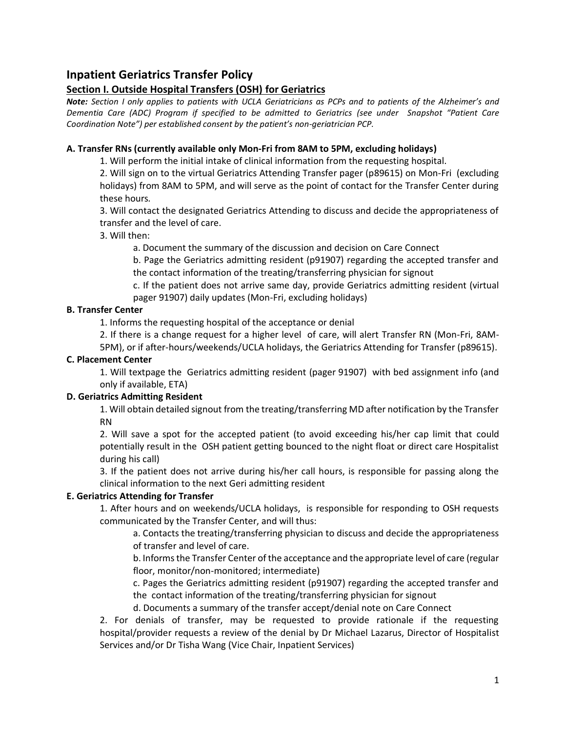# **Inpatient Geriatrics Transfer Policy**

## **Section I. Outside Hospital Transfers (OSH) for Geriatrics**

*Note: Section I only applies to patients with UCLA Geriatricians as PCPs and to patients of the Alzheimer's and Dementia Care (ADC) Program if specified to be admitted to Geriatrics (see under Snapshot "Patient Care Coordination Note") per established consent by the patient's non-geriatrician PCP.*

#### **A. Transfer RNs (currently available only Mon-Fri from 8AM to 5PM, excluding holidays)**

1. Will perform the initial intake of clinical information from the requesting hospital.

2. Will sign on to the virtual Geriatrics Attending Transfer pager (p89615) on Mon-Fri (excluding holidays) from 8AM to 5PM, and will serve as the point of contact for the Transfer Center during these hours*.* 

3. Will contact the designated Geriatrics Attending to discuss and decide the appropriateness of transfer and the level of care.

3. Will then:

a. Document the summary of the discussion and decision on Care Connect

b. Page the Geriatrics admitting resident (p91907) regarding the accepted transfer and the contact information of the treating/transferring physician for signout

c. If the patient does not arrive same day, provide Geriatrics admitting resident (virtual pager 91907) daily updates (Mon-Fri, excluding holidays)

#### **B. Transfer Center**

1. Informs the requesting hospital of the acceptance or denial

2. If there is a change request for a higher level of care, will alert Transfer RN (Mon-Fri, 8AM-5PM), or if after-hours/weekends/UCLA holidays, the Geriatrics Attending for Transfer (p89615).

#### **C. Placement Center**

1. Will textpage the Geriatrics admitting resident (pager 91907) with bed assignment info (and only if available, ETA)

## **D. Geriatrics Admitting Resident**

1. Will obtain detailed signout from the treating/transferring MD after notification by the Transfer RN

2. Will save a spot for the accepted patient (to avoid exceeding his/her cap limit that could potentially result in the OSH patient getting bounced to the night float or direct care Hospitalist during his call)

3. If the patient does not arrive during his/her call hours, is responsible for passing along the clinical information to the next Geri admitting resident

#### **E. Geriatrics Attending for Transfer**

1. After hours and on weekends/UCLA holidays, is responsible for responding to OSH requests communicated by the Transfer Center, and will thus:

a. Contacts the treating/transferring physician to discuss and decide the appropriateness of transfer and level of care.

b. Informs the Transfer Center of the acceptance and the appropriate level of care (regular floor, monitor/non-monitored; intermediate)

c. Pages the Geriatrics admitting resident (p91907) regarding the accepted transfer and the contact information of the treating/transferring physician for signout

d. Documents a summary of the transfer accept/denial note on Care Connect

2. For denials of transfer, may be requested to provide rationale if the requesting hospital/provider requests a review of the denial by Dr Michael Lazarus, Director of Hospitalist Services and/or Dr Tisha Wang (Vice Chair, Inpatient Services)